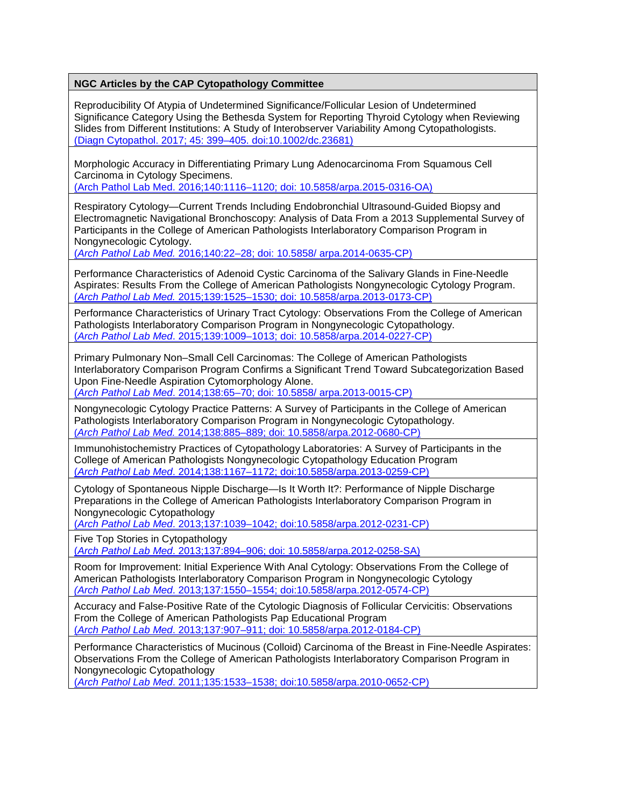Reproducibility Of Atypia of Undetermined Significance/Follicular Lesion of Undetermined Significance Category Using the Bethesda System for Reporting Thyroid Cytology when Reviewing Slides from Different Institutions: A Study of Interobserver Variability Among Cytopathologists. [\(Diagn Cytopathol. 2017; 45: 399–405. doi:10.1002/dc.23681\)](http://onlinelibrary.wiley.com/doi/10.1002/dc.23681/abstract;jsessionid=E0FC005F193B66526F9DA9E4C5CF335A.f03t04)

Morphologic Accuracy in Differentiating Primary Lung Adenocarcinoma From Squamous Cell Carcinoma in Cytology Specimens.

[\(Arch Pathol Lab Med. 2016;140:1116–1120; doi: 10.5858/arpa.2015-0316-OA\)](http://www.archivesofpathology.org/doi/pdf/10.5858/arpa.2015-0316-OA)

Respiratory Cytology—Current Trends Including Endobronchial Ultrasound-Guided Biopsy and Electromagnetic Navigational Bronchoscopy: Analysis of Data From a 2013 Supplemental Survey of Participants in the College of American Pathologists Interlaboratory Comparison Program in Nongynecologic Cytology.

(*Arch Pathol Lab Med.* [2016;140:22–28; doi: 10.5858/ arpa.2014-0635-CP\)](http://www.archivesofpathology.org/doi/pdf/10.5858/arpa.2014-0635-CP)

Performance Characteristics of Adenoid Cystic Carcinoma of the Salivary Glands in Fine-Needle Aspirates: Results From the College of American Pathologists Nongynecologic Cytology Program. (*Arch Pathol Lab Med.* [2015;139:1525–1530; doi: 10.5858/arpa.2013-0173-CP\)](http://www.archivesofpathology.org/doi/pdf/10.5858/arpa.2013-0173-CP)

Performance Characteristics of Urinary Tract Cytology: Observations From the College of American Pathologists Interlaboratory Comparison Program in Nongynecologic Cytopathology. (*Arch Pathol Lab Med*[. 2015;139:1009–1013; doi: 10.5858/arpa.2014-0227-CP\)](http://www.archivesofpathology.org/doi/pdf/10.5858/arpa.2014-0227-CP)

Primary Pulmonary Non–Small Cell Carcinomas: The College of American Pathologists Interlaboratory Comparison Program Confirms a Significant Trend Toward Subcategorization Based Upon Fine-Needle Aspiration Cytomorphology Alone.

(*Arch Pathol Lab Med*. 2014;138:65–70; doi: [10.5858/ arpa.2013-0015-CP\)](http://www.archivesofpathology.org/doi/pdf/10.5858/arpa.2013-0015-CP)

Nongynecologic Cytology Practice Patterns: A Survey of Participants in the College of American Pathologists Interlaboratory Comparison Program in Nongynecologic Cytopathology. (*Arch Pathol Lab Med.* [2014;138:885–889; doi: 10.5858/arpa.2012-0680-CP\)](http://www.archivesofpathology.org/doi/pdf/10.5858/arpa.2012-0680-CP?code=coap-site)

Immunohistochemistry Practices of Cytopathology Laboratories: A Survey of Participants in the College of American Pathologists Nongynecologic Cytopathology Education Program (*Arch Pathol Lab Med*[. 2014;138:1167–1172; doi:10.5858/arpa.2013-0259-CP\)](http://www.archivesofpathology.org/doi/pdf/10.5858/arpa.2013-0259-CP?code=coap-site)

Cytology of Spontaneous Nipple Discharge—Is It Worth It?: Performance of Nipple Discharge Preparations in the College of American Pathologists Interlaboratory Comparison Program in Nongynecologic Cytopathology

(*Arch Pathol Lab Med*[. 2013;137:1039–1042; doi:10.5858/arpa.2012-0231-CP\)](http://www.archivesofpathology.org/doi/pdf/10.5858/arpa.2012-0231-CP)

Five Top Stories in Cytopathology

(*Arch Pathol Lab Med*[. 2013;137:894–906; doi: 10.5858/arpa.2012-0258-SA\)](http://www.archivesofpathology.org/doi/pdf/10.5858/arpa.2012-0258-SA)

Room for Improvement: Initial Experience With Anal Cytology: Observations From the College of American Pathologists Interlaboratory Comparison Program in Nongynecologic Cytology *(Arch Pathol Lab Med*[. 2013;137:1550–1554; doi:10.5858/arpa.2012-0574-CP\)](http://www.archivesofpathology.org/doi/pdf/10.5858/arpa.2012-0574-CP)

Accuracy and False-Positive Rate of the Cytologic Diagnosis of Follicular Cervicitis: Observations From the College of American Pathologists Pap Educational Program (*Arch Pathol Lab Med*[. 2013;137:907–911; doi: 10.5858/arpa.2012-0184-CP\)](http://www.archivesofpathology.org/doi/pdf/10.5858/arpa.2012-0184-CP)

Performance Characteristics of Mucinous (Colloid) Carcinoma of the Breast in Fine-Needle Aspirates: Observations From the College of American Pathologists Interlaboratory Comparison Program in Nongynecologic Cytopathology

(*Arch Pathol Lab Med*[. 2011;135:1533–1538; doi:10.5858/arpa.2010-0652-CP\)](http://www.archivesofpathology.org/doi/pdf/10.5858/arpa.2010-0652-CP)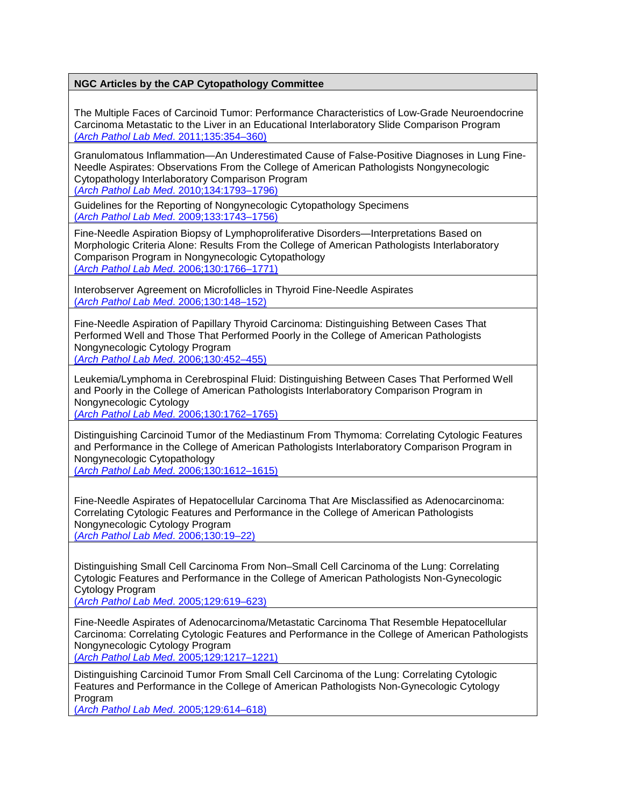The Multiple Faces of Carcinoid Tumor: Performance Characteristics of Low-Grade Neuroendocrine Carcinoma Metastatic to the Liver in an Educational Interlaboratory Slide Comparison Program (*[Arch Pathol Lab Med](http://www.archivesofpathology.org/doi/pdf/10.1043/2009-0616-CP.1)*. 2011;135:354–360)

Granulomatous Inflammation—An Underestimated Cause of False-Positive Diagnoses in Lung Fine-Needle Aspirates: Observations From the College of American Pathologists Nongynecologic Cytopathology Interlaboratory Comparison Program

(*Arch Pathol Lab Med*[. 2010;134:1793–1796\)](http://www.archivesofpathology.org/doi/pdf/10.1043/2009-0491-CPR2.1)

Guidelines for the Reporting of Nongynecologic Cytopathology Specimens (*Arch Pathol Lab Med*[. 2009;133:1743–1756\)](http://www.archivesofpathology.org/doi/pdf/10.1043/1543-2165-133.11.1743)

Fine-Needle Aspiration Biopsy of Lymphoproliferative Disorders—Interpretations Based on Morphologic Criteria Alone: Results From the College of American Pathologists Interlaboratory Comparison Program in Nongynecologic Cytopathology (*Arch Pathol Lab Med*[. 2006;130:1766–1771\)](http://www.archivesofpathology.org/doi/pdf/10.1043/1543-2165%282006%29130%5B1766%3AFABOLD%5D2.0.CO%3B2)

Interobserver Agreement on Microfollicles in Thyroid Fine-Needle Aspirates (*[Arch Pathol Lab Med](http://www.archivesofpathology.org/doi/pdf/10.1043/1543-2165%282006%29130%5B148%3AIAOMIT%5D2.0.CO%3B2)*. 2006;130:148–152)

Fine-Needle Aspiration of Papillary Thyroid Carcinoma: Distinguishing Between Cases That Performed Well and Those That Performed Poorly in the College of American Pathologists Nongynecologic Cytology Program (*[Arch Pathol Lab Med](http://www.archivesofpathology.org/doi/pdf/10.1043/1543-2165%282006%29130%5B452%3AFAOPTC%5D2.0.CO%3B2)*. 2006;130:452–455)

Leukemia/Lymphoma in Cerebrospinal Fluid: Distinguishing Between Cases That Performed Well and Poorly in the College of American Pathologists Interlaboratory Comparison Program in Nongynecologic Cytology

(*Arch Pathol Lab Med*[. 2006;130:1762–1765\)](http://www.archivesofpathology.org/doi/pdf/10.1043/1543-2165%282006%29130%5B1762%3ALICFDB%5D2.0.CO%3B2)

Distinguishing Carcinoid Tumor of the Mediastinum From Thymoma: Correlating Cytologic Features and Performance in the College of American Pathologists Interlaboratory Comparison Program in Nongynecologic Cytopathology (*Arch Pathol Lab Med*[. 2006;130:1612–1615\)](http://www.archivesofpathology.org/doi/pdf/10.1043/1543-2165%282006%29130%5B1612%3ADCTOTM%5D2.0.CO%3B2)

Fine-Needle Aspirates of Hepatocellular Carcinoma That Are Misclassified as Adenocarcinoma: Correlating Cytologic Features and Performance in the College of American Pathologists Nongynecologic Cytology Program (*[Arch Pathol Lab Med](http://www.archivesofpathology.org/doi/pdf/10.1043/1543-2165%282006%29130%5B19%3AFAOHCT%5D2.0.CO%3B2)*. 2006;130:19–22)

Distinguishing Small Cell Carcinoma From Non–Small Cell Carcinoma of the Lung: Correlating Cytologic Features and Performance in the College of American Pathologists Non-Gynecologic Cytology Program

(*[Arch Pathol Lab Med](http://www.archivesofpathology.org/doi/pdf/10.1043/1543-2165%282005%29129%3C0619%3ADSCCFN%3E2.0.CO%3B2)*. 2005;129:619–623)

Fine-Needle Aspirates of Adenocarcinoma/Metastatic Carcinoma That Resemble Hepatocellular Carcinoma: Correlating Cytologic F[eatures and Performance in the College of American Pathologists](http://www.archivesofpathology.org/doi/pdf/10.1043/1543-2165%282005%29129%5B1217%3AFAOMCT%5D2.0.CO%3B2)  Nongynecologic Cytology Program

(*Arch Pathol Lab Med*[. 2005;129:1217–1221\)](http://www.archivesofpathology.org/doi/pdf/10.1043/1543-2165%282005%29129%5B1217%3AFAOMCT%5D2.0.CO%3B2)

Distinguishing Carcinoid Tumor From Small Cell Carcinoma of the Lung: Correlating Cytologic Features and Performance in the College of American Pathologists Non-Gynecologic Cytology Program

(*[Arch Pathol Lab Med](http://www.archivesofpathology.org/doi/pdf/10.1043/1543-2165%282005%29129%3C0614%3ADCTFSC%3E2.0.CO%3B2)*. 2005;129:614–618)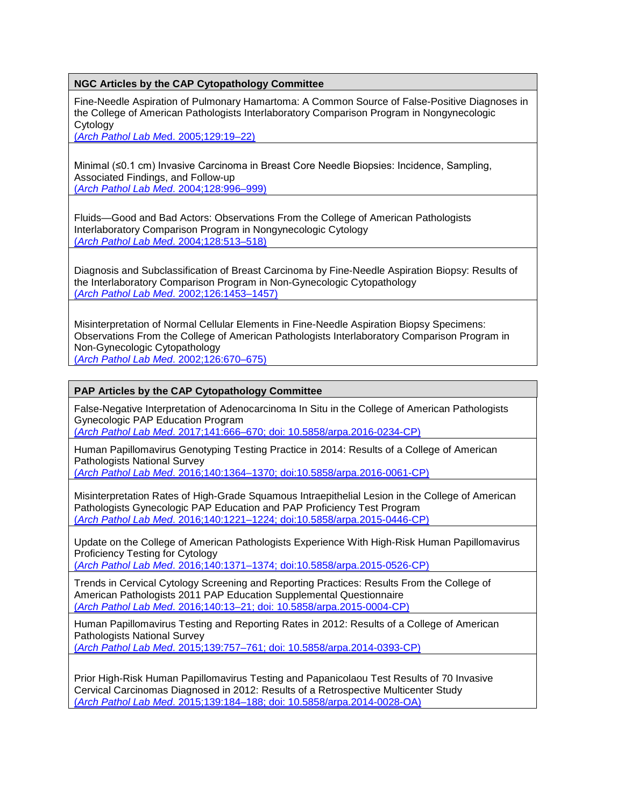Fine-Needle Aspiration of Pulmonary Hamartoma: A Common Source of False-Positive Diagnoses in the College of American Pathologists Interlaboratory Comparison Program in Nongynecologic Cytology

(*[Arch Pathol Lab Me](http://www.archivesofpathology.org/doi/pdf/10.1043/1543-2165%282005%29129%3C19%3AFAOPHA%3E2.0.CO%3B2)*d. 2005;129:19–22)

Minimal (≤0.1 cm) Invasive Carcinoma in Breast Core Needle Biopsies: Incidence, Sampling, Associated Findings, and Follow-up (*Arch Pathol Lab Med*[. 2004;128:996–999\)](http://www.archivesofpathology.org/doi/pdf/10.1043/1543-2165%282004%29128%3C996%3AMCICIB%3E2.0.CO%3B2)

Fluids—Good and Bad Actors: Observations From the College of American Pathologists Interlaboratory Comparison Program in Nongynecologic Cytology (*[Arch Pathol Lab Med](http://www.archivesofpathology.org/doi/pdf/10.1043/1543-2165%282004%29128%3C513%3AFABAOF%3E2.0.CO%3B2)*. 2004;128:513–518)

Diagnosis and Subclassification of Breast Carcinoma by Fine-Needle Aspiration Biopsy: Results of the Interlaboratory Comparison Program in Non-Gynecologic Cytopathology (*Arch Pathol Lab Med*[. 2002;126:1453–1457\)](http://www.archivesofpathology.org/doi/pdf/10.1043/0003-9985%282002%29126%3C1453%3ADASOBC%3E2.0.CO%3B2)

Misinterpretation of Normal Cellular Elements in Fine-Needle Aspiration Biopsy Specimens: Observations From the College of American Pathologists Interlaboratory Comparison Program in Non-Gynecologic Cytopathology (*[Arch Pathol Lab Med](http://www.archivesofpathology.org/doi/pdf/10.1043/0003-9985%282002%29126%3C0670%3AMONCEI%3E2.0.CO%3B2)*. 2002;126:670–675)

### **PAP Articles by the CAP Cytopathology Committee**

False-Negative Interpretation of Adenocarcinoma In Situ in the College of American Pathologists Gynecologic PAP Education Program

(*Arch Pathol Lab Med*[. 2017;141:666–670; doi: 10.5858/arpa.2016-0234-CP\)](http://www.archivesofpathology.org/doi/pdf/10.5858/arpa.2016-0234-CP)

Human Papillomavirus Genotyping Testing Practice in 2014: Results of a College of American Pathologists National Survey (*Arch Pathol Lab Med*[. 2016;140:1364–1370; doi:10.5858/arpa.2016-0061-CP\)](http://www.archivesofpathology.org/doi/pdf/10.5858/arpa.2016-0061-CP)

Misinterpretation Rates of High-Grade Squamous Intraepithelial Lesion in the College of American Pathologists Gynecologic PAP Education and PAP Proficiency Test Program (*Arch Pathol Lab Med*[. 2016;140:1221–1224; doi:10.5858/arpa.2015-0446-CP\)](http://www.archivesofpathology.org/doi/pdf/10.5858/arpa.2015-0446-CP)

Update on the College of American Pathologists Experience With High-Risk Human Papillomavirus Proficiency Testing for Cytology

(*Arch Pathol Lab Med*[. 2016;140:1371–1374; doi:10.5858/arpa.2015-0526-CP\)](http://www.archivesofpathology.org/doi/pdf/10.5858/arpa.2015-0526-CP)

Trends in Cervical Cytology Screening and Reporting Practices: Results From the College of American Pathologists 2011 PAP Education Supplemental Questionnaire (*Arch Pathol Lab Med*[. 2016;140:13–21; doi: 10.5858/arpa.2015-0004-CP\)](http://www.archivesofpathology.org/doi/pdf/10.5858/arpa.2015-0004-CP)

Human Papillomavirus Testing and Reporting Rates in 2012: Results of a College of American Pathologists National Survey

(*Arch Pathol Lab Med*[. 2015;139:757–761; doi: 10.5858/arpa.2014-0393-CP\)](http://www.archivesofpathology.org/doi/pdf/10.5858/arpa.2014-0393-CP)

Prior High-Risk Human Papillomavirus Testing and Papanicolaou Test Results of 70 Invasive Cervical Carcinomas Diagnosed in 2012: Results of a Retrospective Multicenter Study (*Arch Pathol Lab Med*[. 2015;139:184–188; doi: 10.5858/arpa.2014-0028-OA\)](http://www.archivesofpathology.org/doi/pdf/10.5858/arpa.2014-0028-OA)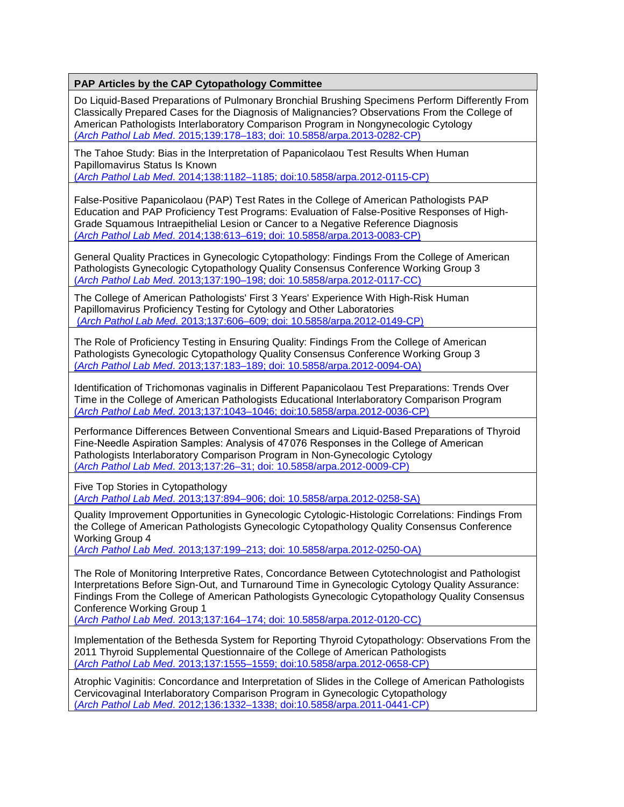Do Liquid-Based Preparations of Pulmonary Bronchial Brushing Specimens Perform Differently From Classically Prepared Cases for the Diagnosis of Malignancies? Observations From the College of American Pathologists Interlaboratory Comparison Program in Nongynecologic Cytology (*Arch Pathol Lab Med*[. 2015;139:178–183; doi: 10.5858/arpa.2013-0282-CP\)](http://www.archivesofpathology.org/doi/pdf/10.5858/arpa.2013-0282-CP)

The Tahoe Study: Bias in the Interpretation of Papanicolaou Test Results When Human Papillomavirus Status Is Known

(*Arch Pathol Lab Med*[. 2014;138:1182–1185; doi:10.5858/arpa.2012-0115-CP\)](http://www.archivesofpathology.org/doi/pdf/10.5858/arpa.2012-0115-CP)

False-Positive Papanicolaou (PAP) Test Rates in the College of American Pathologists PAP Education and PAP Proficiency Test Programs: Evaluation of False-Positive Responses of High-Grade Squamous Intraepithelial Lesion or Cancer to a Negative Reference Diagnosis (*Arch Pathol Lab Med*[. 2014;138:613–619; doi: 10.5858/arpa.2013-0083-CP\)](http://www.archivesofpathology.org/doi/pdf/10.5858/arpa.2013-0083-CP)

General Quality Practices in Gynecologic Cytopathology: Findings From the College of American Pathologists Gynecologic Cytopathology Quality Consensus Conference Working Group 3 (*Arch Pathol Lab Med*[. 2013;137:190–198; doi: 10.5858/arpa.2012-0117-CC\)](http://www.archivesofpathology.org/doi/pdf/10.5858/arpa.2012-0117-CC)

The College of American Pathologists' First 3 Years' Experience With High-Risk Human Papillomavirus Proficiency Testing for Cytology and Other Laboratories (*Arch Pathol Lab Med*[. 2013;137:606–609; doi: 10.5858/arpa.2012-0149-CP\)](http://www.archivesofpathology.org/doi/pdf/10.5858/arpa.2012-0149-CP)

The Role of Proficiency Testing in Ensuring Quality: Findings From the College of American Pathologists Gynecologic Cytopathology Quality Consensus Conference Working Group 3 (*Arch Pathol Lab Med*[. 2013;137:183–189; doi: 10.5858/arpa.2012-0094-OA\)](http://www.archivesofpathology.org/doi/pdf/10.5858/arpa.2012-0094-OA)

Identification of Trichomonas vaginalis in Different Papanicolaou Test Preparations: Trends Over Time in the College of American Pathologists Educational Interlaboratory Comparison Program (*Arch Pathol Lab Med*[. 2013;137:1043–1046; doi:10.5858/arpa.2012-0036-CP\)](http://www.archivesofpathology.org/doi/pdf/10.5858/arpa.2012-0036-CP)

Performance Differences Between Conventional Smears and Liquid-Based Preparations of Thyroid Fine-Needle Aspiration Samples: Analysis of 47 076 Responses in the College of American Pathologists Interlaboratory Comparison Program in Non-Gynecologic Cytology (*Arch Pathol Lab Med*[. 2013;137:26–31; doi: 10.5858/arpa.2012-0009-CP\)](http://www.archivesofpathology.org/doi/pdf/10.5858/arpa.2012-0009-CP)

Five Top Stories in Cytopathology (*Arch Pathol Lab Med*[. 2013;137:894–906; doi: 10.5858/arpa.2012-0258-SA\)](http://www.archivesofpathology.org/doi/pdf/10.5858/arpa.2012-0258-SA)

Quality Improvement Opportunities in Gynecologic Cytologic-Histologic Correlations: Findings From the College of American Pathologists Gynecologic Cytopathology Quality Consensus Conference Working Group 4

(*Arch Pathol Lab Med*[. 2013;137:199–213; doi: 10.5858/arpa.2012-0250-OA\)](http://www.archivesofpathology.org/doi/pdf/10.5858/arpa.2012-0250-OA)

The Role of Monitoring Interpretive Rates, Concordance Between Cytotechnologist and Pathologist Interpretations Before Sign-Out, and Turnaround Time in Gynecologic Cytology Quality Assurance: Findings From the College of American Pathologists Gynecologic Cytopathology Quality Consensus Conference Working Group 1

(*Arch Pathol Lab Med*[. 2013;137:164–174; doi: 10.5858/arpa.2012-0120-CC\)](http://www.archivesofpathology.org/doi/pdf/10.5858/arpa.2012-0120-CC)

Implementation of the Bethesda System for Reporting Thyroid Cytopathology: Observations From the 2011 Thyroid Supplemental Questionnaire of the College of American Pathologists (*Arch Pathol Lab Med*[. 2013;137:1555–1559; doi:10.5858/arpa.2012-0658-CP\)](http://www.archivesofpathology.org/doi/pdf/10.5858/arpa.2012-0658-CP)

Atrophic Vaginitis: Concordance and Interpretation of Slides in the College of American Pathologists Cervicovaginal Interlaboratory Comparison Program in Gynecologic Cytopathology (*Arch Pathol Lab Med*[. 2012;136:1332–1338; doi:10.5858/arpa.2011-0441-CP\)](http://www.archivesofpathology.org/doi/pdf/10.5858/arpa.2011-0441-CP)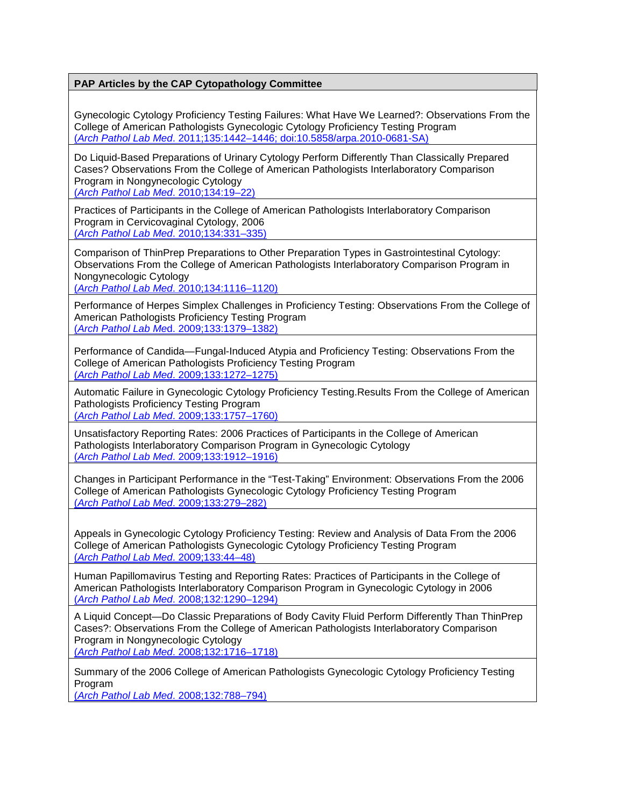Gynecologic Cytology Proficiency Testing Failures: What Have We Learned?: Observations From the College of American Pathologists Gynecologic Cytology Proficiency Testing Program (*Arch Pathol Lab Med*[. 2011;135:1442–1446; doi:10.5858/arpa.2010-0681-SA\)](http://www.archivesofpathology.org/doi/pdf/10.5858/arpa.2010-0681-SA)

Do Liquid-Based Preparations of Urinary Cytology Perform Differently Than Classically Prepared Cases? Observations From the College of American Pathologists Interlaboratory Comparison Program in Nongynecologic Cytology

(*[Arch Pathol Lab Med](http://www.archivesofpathology.org/doi/pdf/10.1043/2008-0673-CPR1.1)*. 2010;134:19–22)

Practices of Participants in the College of American Pathologists Interlaboratory Comparison Program in Cervicovaginal Cytology, 2006 (*[Arch Pathol Lab Med](http://www.archivesofpathology.org/doi/pdf/10.1043/1543-2165-134.3.331)*. 2010;134:331–335)

Comparison of ThinPrep Preparations to Other Preparation Types in Gastrointestinal Cytology: Observations From the College of American Pathologists Interlaboratory Comparison Program in Nongynecologic Cytology

(*Arch Pathol Lab Med*[. 2010;134:1116–1120\)](http://www.archivesofpathology.org/doi/pdf/10.1043/2009-0326-CP.1)

Performance of Herpes Simplex Challenges in Proficiency Testing: Observations From the College of American Pathologists Proficiency Testing Program (*Arch Pathol Lab Me*[d. 2009;133:1379–1382\)](http://www.archivesofpathology.org/doi/pdf/10.1043/1543-2165-133.9.1379)

Performance of Candida—Fungal-Induced Atypia and Proficiency Testing: Observations From the College of American Pathologists Proficiency Testing Program (*Arch Pathol Lab Med*[. 2009;133:1272–1275\)](http://www.archivesofpathology.org/doi/pdf/10.1043/1543-2165-133.8.1272)

Automatic Failure in Gynecologic Cytology Proficiency Testing.Results From the College of American Pathologists Proficiency Testing Program (*Arch Pathol Lab Med*[. 2009;133:1757–1760\)](http://www.archivesofpathology.org/doi/pdf/10.1043/1543-2165-133.11.1757)

Unsatisfactory Reporting Rates: 2006 Practices of Participants in the College of American Pathologists Interlaboratory Comparison Program in Gynecologic Cytology (*Arch Pathol Lab Med*[. 2009;133:1912–1916\)](http://www.archivesofpathology.org/doi/pdf/10.1043/1543-2165-133.12.1912)

Changes in Participant Performance in the "Test-Taking" Environment: Observations From the 2006 College of American Pathologists Gynecologic Cytology Proficiency Testing Program (*[Arch Pathol Lab Med](http://www.archivesofpathology.org/doi/pdf/10.1043/1543-2165-133.2.279)*. 2009;133:279–282)

Appeals in Gynecologic Cytology Proficiency Testing: Review and Analysis of Data From the 2006 College of American Pathologists Gynecologic Cytology Proficiency Testing Program (*[Arch Pathol Lab Med](http://www.archivesofpathology.org/doi/pdf/10.1043/1543-2165-133.1.44)*. 2009;133:44–48)

Human Papillomavirus Testing and Reporting Rates: Practices of Participants in the College of American Pathologists Interlaboratory Comparison Program in Gynecologic Cytology in 2006 (*Arch Pathol Lab Med*[. 2008;132:1290–1294\)](http://www.archivesofpathology.org/doi/pdf/10.1043/1543-2165%282008%29132%5B1290%3AHPTARR%5D2.0.CO%3B2)

A Liquid Concept—Do Classic Preparations of Body Cavity Fluid Perform Differently Than ThinPrep Cases?: Observations From the College of American Pathologists Interlaboratory Comparison Program in Nongynecologic Cytology (*Arch Pathol Lab Med*[. 2008;132:1716–1718\)](http://www.archivesofpathology.org/doi/pdf/10.1043/1543-2165-132.11.1716)

Summary of the 2006 College of American Pathologists Gynecologic Cytology Proficiency Testing Program

(*[Arch Pathol Lab Med](http://www.archivesofpathology.org/doi/pdf/10.1043/1543-2165%282008%29132%5B788%3ASOTCOA%5D2.0.CO%3B2)*. 2008;132:788–794)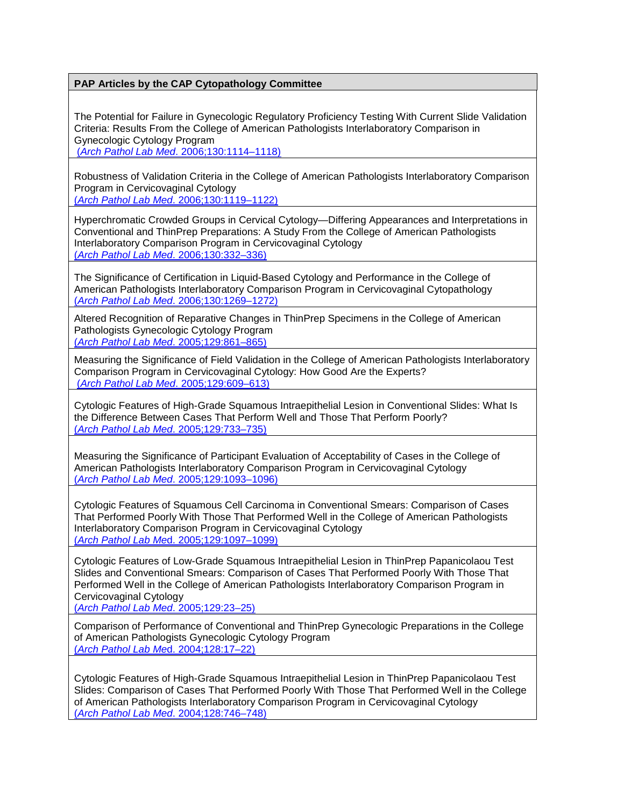The Potential for Failure in Gynecologic Regulatory Proficiency Testing With Current Slide Validation Criteria: Results From the College of American Pathologists Interlaboratory Comparison in Gynecologic Cytology Program

(*Arch Pathol Lab Med*[. 2006;130:1114–1118\)](http://www.archivesofpathology.org/doi/pdf/10.1043/1543-2165%282006%29130%5B1114%3ATPFFIG%5D2.0.CO%3B2)

Robustness of Validation Criteria in the College of American Pathologists Interlaboratory Comparison Program in Cervicovaginal Cytology

(*Arch Pathol Lab Med*[. 2006;130:1119–1122\)](http://www.archivesofpathology.org/doi/pdf/10.1043/1543-2165%282006%29130%5B1119%3AROVCIT%5D2.0.CO%3B2)

Hyperchromatic Crowded Groups in Cervical Cytology—Differing Appearances and Interpretations in Conventional and ThinPrep Preparations: A Study From the College of American Pathologists Interlaboratory Comparison Program in Cervicovaginal Cytology (*[Arch Pathol Lab Med](http://www.archivesofpathology.org/doi/pdf/10.1043/1543-2165%282006%29130%5B332%3AHCGICC%5D2.0.CO%3B2)*. 2006;130:332–336)

The Significance of Certification in Liquid-Based Cytology and Performance in the College of American Pathologists Interlaboratory Comparison Program in Cervicovaginal Cytopathology (*Arch Pathol Lab Med*[. 2006;130:1269–1272\)](http://www.archivesofpathology.org/doi/pdf/10.1043/1543-2165%282006%29130%5B1269%3ATSOCIL%5D2.0.CO%3B2)

Altered Recognition of Reparative Changes in ThinPrep Specimens in the College of American Pathologists Gynecologic Cytology Program (*[Arch Pathol Lab Med](http://www.archivesofpathology.org/doi/pdf/10.1043/1543-2165%282005%29129%5B861%3AARORCI%5D2.0.CO%3B2)*. 2005;129:861–865)

Measuring the Significance of Field Validation in the College of American Pathologists Interlaboratory Comparison Program in Cervicovaginal Cytology: How Good Are the Experts? (*[Arch Pathol Lab Med](http://www.archivesofpathology.org/doi/pdf/10.1043/1543-2165%282005%29129%3C0609%3AMTSOFV%3E2.0.CO%3B2)*. 2005;129:609–613)

Cytologic Features of High-Grade Squamous Intraepithelial Lesion in Conventional Slides: What Is the Difference Between Cases That Perform Well and Those That Perform Poorly? (*[Arch Pathol Lab Med](http://www.archivesofpathology.org/doi/pdf/10.1043/1543-2165%282005%29129%5B733%3ACFOHSI%5D2.0.CO%3B2)*. 2005;129:733–735)

Measuring the Significance of Participant Evaluation of Acceptability of Cases in the College of American Pathologists Interlaboratory Comparison Program in Cervicovaginal Cytology (*Arch Pathol Lab Med*[. 2005;129:1093–1096\)](http://www.archivesofpathology.org/doi/pdf/10.1043/1543-2165%282005%29129%5B1093%3AMTSOPE%5D2.0.CO%3B2)

Cytologic Features of Squamous Cell Carcinoma in Conventional Smears: Comparison of Cases That Performed Poorly With Those That Performed Well in the College of American Pathologists Interlaboratory Comparison Program in Cervicovaginal Cytology (*Arch Pathol Lab Me*[d. 2005;129:1097–1099\)](http://www.archivesofpathology.org/doi/pdf/10.1043/1543-2165%282005%29129%5B1097%3ACFOSCC%5D2.0.CO%3B2)

Cytologic Features of Low-Grade Squamous Intraepithelial Lesion in ThinPrep Papanicolaou Test Slides and Conventional Smears: Comparison of Cases That Performed Poorly With Those That Performed Well in the College of American Pathologists Interlaboratory Comparison Program in Cervicovaginal Cytology

(*[Arch Pathol Lab Med](http://www.archivesofpathology.org/doi/pdf/10.1043/1543-2165%282005%29129%3C23%3ACFOLSI%3E2.0.CO%3B2)*. 2005;129:23–25)

Comparison of Performance of Conventional and ThinPrep Gynecologic Preparations in the College of American Pathologists Gynecologic Cytology Program (*[Arch Pathol Lab Me](http://www.archivesofpathology.org/doi/pdf/10.1043/1543-2165%282004%29128%3C17%3ACOPOCA%3E2.0.CO%3B2)*d. 2004;128:17–22)

Cytologic Features of High-Grade Squamous Intraepithelial Lesion in ThinPrep Papanicolaou Test Slides: Comparison of Cases That Performed Poorly With Those That Performed Well in the College of American Pathologists Interlaboratory Comparison Program in Cervicovaginal Cytology (*[Arch Pathol Lab Med](http://www.archivesofpathology.org/doi/pdf/10.1043/1543-2165%282004%29128%3C746%3ACFOHSI%3E2.0.CO%3B2)*. 2004;128:746–748)